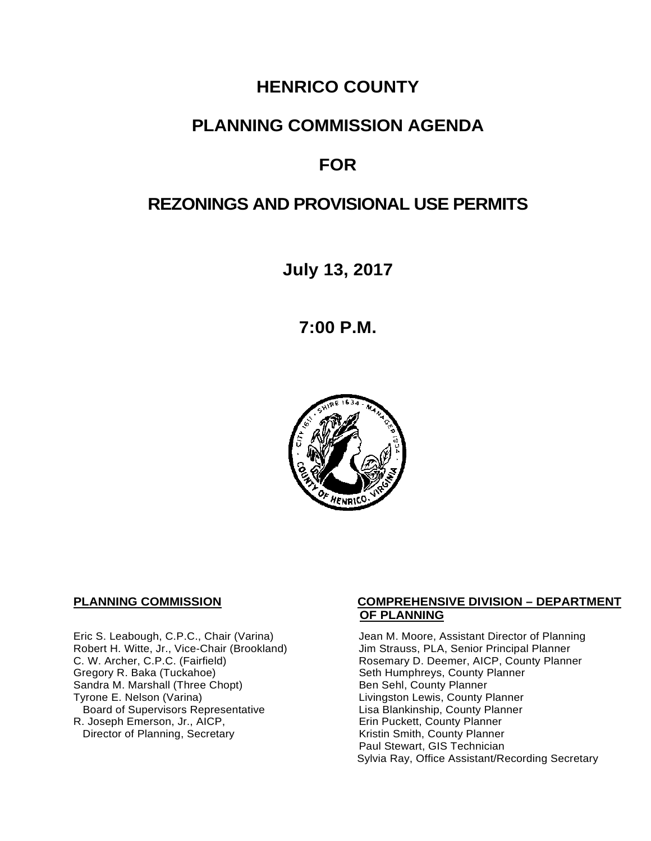# **HENRICO COUNTY**

## **PLANNING COMMISSION AGENDA**

# **FOR**

# **REZONINGS AND PROVISIONAL USE PERMITS**

**July 13, 2017**

**7:00 P.M.**



Eric S. Leabough, C.P.C., Chair (Varina) Jean M. Moore, Assistant Director of Planning<br>Robert H. Witte, Jr., Vice-Chair (Brookland) Jim Strauss, PLA, Senior Principal Planner Robert H. Witte, Jr., Vice-Chair (Brookland)<br>C. W. Archer, C.P.C. (Fairfield) Gregory R. Baka (Tuckahoe) <br>
Sandra M. Marshall (Three Chopt) Sandra M. County Planner Sandra M. Marshall (Three Chopt)<br>Tyrone E. Nelson (Varina) Board of Supervisors Representative 
Lisa Blankinship, County Planner<br>
Lisa Blankinship, County Planner<br>
Lisa Blankinship, County Planner R. Joseph Emerson, Jr., AICP, Erin Puckett, County Planner<br>Director of Planning, Secretary Eric Extraction Sounty Planner Director of Planning, Secretary

#### **PLANNING COMMISSION COMPREHENSIVE DIVISION – DEPARTMENT OF PLANNING**

Rosemary D. Deemer, AICP, County Planner<br>Seth Humphreys, County Planner Livingston Lewis, County Planner Paul Stewart, GIS Technician Sylvia Ray, Office Assistant/Recording Secretary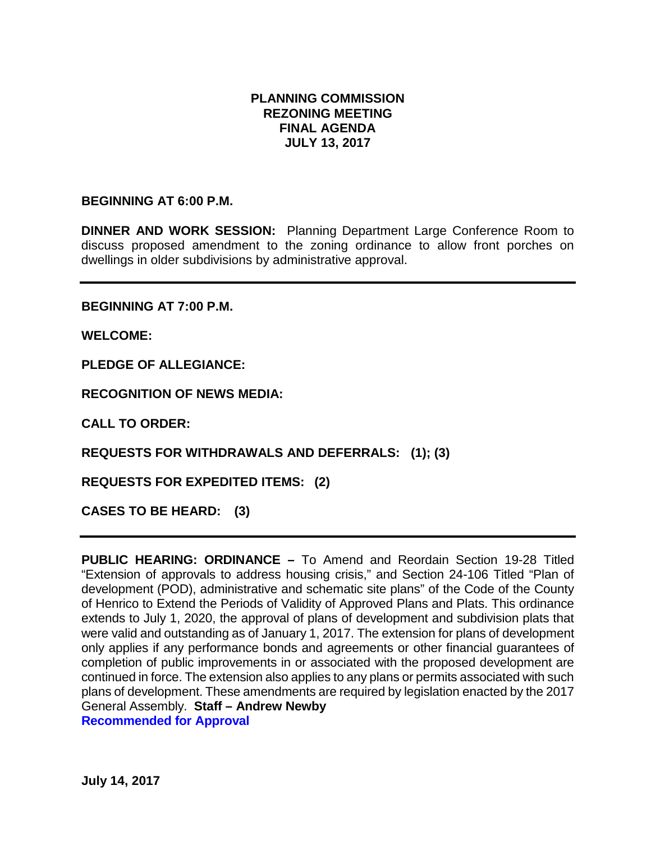#### **PLANNING COMMISSION REZONING MEETING FINAL AGENDA JULY 13, 2017**

#### **BEGINNING AT 6:00 P.M.**

**DINNER AND WORK SESSION:** Planning Department Large Conference Room to discuss proposed amendment to the zoning ordinance to allow front porches on dwellings in older subdivisions by administrative approval.

**BEGINNING AT 7:00 P.M.**

**WELCOME:**

**PLEDGE OF ALLEGIANCE:**

**RECOGNITION OF NEWS MEDIA:**

**CALL TO ORDER:**

**REQUESTS FOR WITHDRAWALS AND DEFERRALS: (1); (3)**

**REQUESTS FOR EXPEDITED ITEMS: (2)**

**CASES TO BE HEARD: (3)**

**PUBLIC HEARING: ORDINANCE –** To Amend and Reordain Section 19-28 Titled "Extension of approvals to address housing crisis," and Section 24-106 Titled "Plan of development (POD), administrative and schematic site plans" of the Code of the County of Henrico to Extend the Periods of Validity of Approved Plans and Plats. This ordinance extends to July 1, 2020, the approval of plans of development and subdivision plats that were valid and outstanding as of January 1, 2017. The extension for plans of development only applies if any performance bonds and agreements or other financial guarantees of completion of public improvements in or associated with the proposed development are continued in force. The extension also applies to any plans or permits associated with such plans of development. These amendments are required by legislation enacted by the 2017 General Assembly. **Staff – Andrew Newby Recommended for Approval**

**July 14, 2017**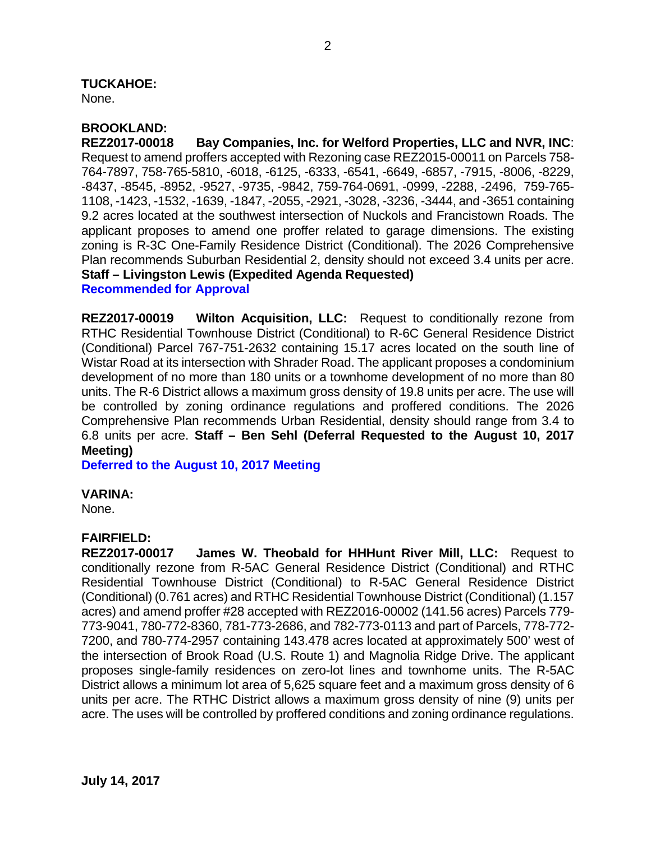# **TUCKAHOE:**

None.

#### **BROOKLAND:**

**REZ2017-00018 Bay Companies, Inc. for Welford Properties, LLC and NVR, INC**: Request to amend proffers accepted with Rezoning case REZ2015-00011 on Parcels 758- 764-7897, 758-765-5810, -6018, -6125, -6333, -6541, -6649, -6857, -7915, -8006, -8229, -8437, -8545, -8952, -9527, -9735, -9842, 759-764-0691, -0999, -2288, -2496, 759-765- 1108, -1423, -1532, -1639, -1847, -2055, -2921, -3028, -3236, -3444, and -3651 containing 9.2 acres located at the southwest intersection of Nuckols and Francistown Roads. The applicant proposes to amend one proffer related to garage dimensions. The existing zoning is R-3C One-Family Residence District (Conditional). The 2026 Comprehensive Plan recommends Suburban Residential 2, density should not exceed 3.4 units per acre. **Staff – Livingston Lewis (Expedited Agenda Requested)**

**Recommended for Approval**

**REZ2017-00019 Wilton Acquisition, LLC:** Request to conditionally rezone from RTHC Residential Townhouse District (Conditional) to R-6C General Residence District (Conditional) Parcel 767-751-2632 containing 15.17 acres located on the south line of Wistar Road at its intersection with Shrader Road. The applicant proposes a condominium development of no more than 180 units or a townhome development of no more than 80 units. The R-6 District allows a maximum gross density of 19.8 units per acre. The use will be controlled by zoning ordinance regulations and proffered conditions. The 2026 Comprehensive Plan recommends Urban Residential, density should range from 3.4 to 6.8 units per acre. **Staff – Ben Sehl (Deferral Requested to the August 10, 2017 Meeting)**

**Deferred to the August 10, 2017 Meeting**

#### **VARINA:**

None.

#### **FAIRFIELD:**

**REZ2017-00017 James W. Theobald for HHHunt River Mill, LLC:** Request to conditionally rezone from R-5AC General Residence District (Conditional) and RTHC Residential Townhouse District (Conditional) to R-5AC General Residence District (Conditional) (0.761 acres) and RTHC Residential Townhouse District (Conditional) (1.157 acres) and amend proffer #28 accepted with REZ2016-00002 (141.56 acres) Parcels 779- 773-9041, 780-772-8360, 781-773-2686, and 782-773-0113 and part of Parcels, 778-772- 7200, and 780-774-2957 containing 143.478 acres located at approximately 500' west of the intersection of Brook Road (U.S. Route 1) and Magnolia Ridge Drive. The applicant proposes single-family residences on zero-lot lines and townhome units. The R-5AC District allows a minimum lot area of 5,625 square feet and a maximum gross density of 6 units per acre. The RTHC District allows a maximum gross density of nine (9) units per acre. The uses will be controlled by proffered conditions and zoning ordinance regulations.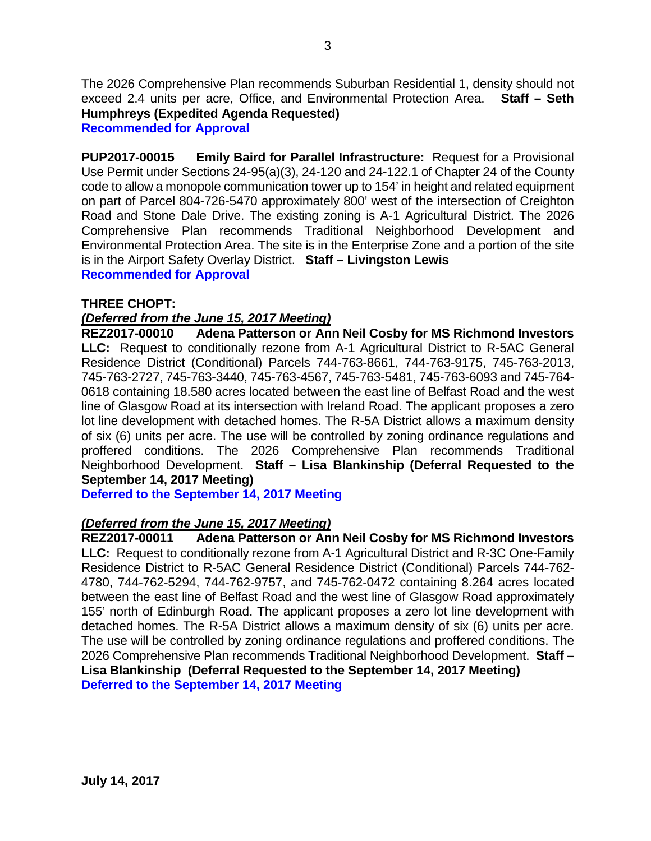The 2026 Comprehensive Plan recommends Suburban Residential 1, density should not exceed 2.4 units per acre, Office, and Environmental Protection Area. **Staff – Seth Humphreys (Expedited Agenda Requested)** 

**Recommended for Approval**

**PUP2017-00015 Emily Baird for Parallel Infrastructure:** Request for a Provisional Use Permit under Sections 24-95(a)(3), 24-120 and 24-122.1 of Chapter 24 of the County code to allow a monopole communication tower up to 154' in height and related equipment on part of Parcel 804-726-5470 approximately 800' west of the intersection of Creighton Road and Stone Dale Drive. The existing zoning is A-1 Agricultural District. The 2026 Comprehensive Plan recommends Traditional Neighborhood Development and Environmental Protection Area. The site is in the Enterprise Zone and a portion of the site is in the Airport Safety Overlay District. **Staff – Livingston Lewis Recommended for Approval**

#### **THREE CHOPT:**

#### *(Deferred from the June 15, 2017 Meeting)*

**REZ2017-00010 Adena Patterson or Ann Neil Cosby for MS Richmond Investors LLC:** Request to conditionally rezone from A-1 Agricultural District to R-5AC General Residence District (Conditional) Parcels 744-763-8661, 744-763-9175, 745-763-2013, 745-763-2727, 745-763-3440, 745-763-4567, 745-763-5481, 745-763-6093 and 745-764- 0618 containing 18.580 acres located between the east line of Belfast Road and the west line of Glasgow Road at its intersection with Ireland Road. The applicant proposes a zero lot line development with detached homes. The R-5A District allows a maximum density of six (6) units per acre. The use will be controlled by zoning ordinance regulations and proffered conditions. The 2026 Comprehensive Plan recommends Traditional Neighborhood Development. **Staff – Lisa Blankinship (Deferral Requested to the September 14, 2017 Meeting)**

**Deferred to the September 14, 2017 Meeting**

# *(Deferred from the June 15, 2017 Meeting)*

**REZ2017-00011 Adena Patterson or Ann Neil Cosby for MS Richmond Investors LLC:** Request to conditionally rezone from A-1 Agricultural District and R-3C One-Family Residence District to R-5AC General Residence District (Conditional) Parcels 744-762- 4780, 744-762-5294, 744-762-9757, and 745-762-0472 containing 8.264 acres located between the east line of Belfast Road and the west line of Glasgow Road approximately 155' north of Edinburgh Road. The applicant proposes a zero lot line development with detached homes. The R-5A District allows a maximum density of six (6) units per acre. The use will be controlled by zoning ordinance regulations and proffered conditions. The 2026 Comprehensive Plan recommends Traditional Neighborhood Development. **Staff – Lisa Blankinship (Deferral Requested to the September 14, 2017 Meeting) Deferred to the September 14, 2017 Meeting**